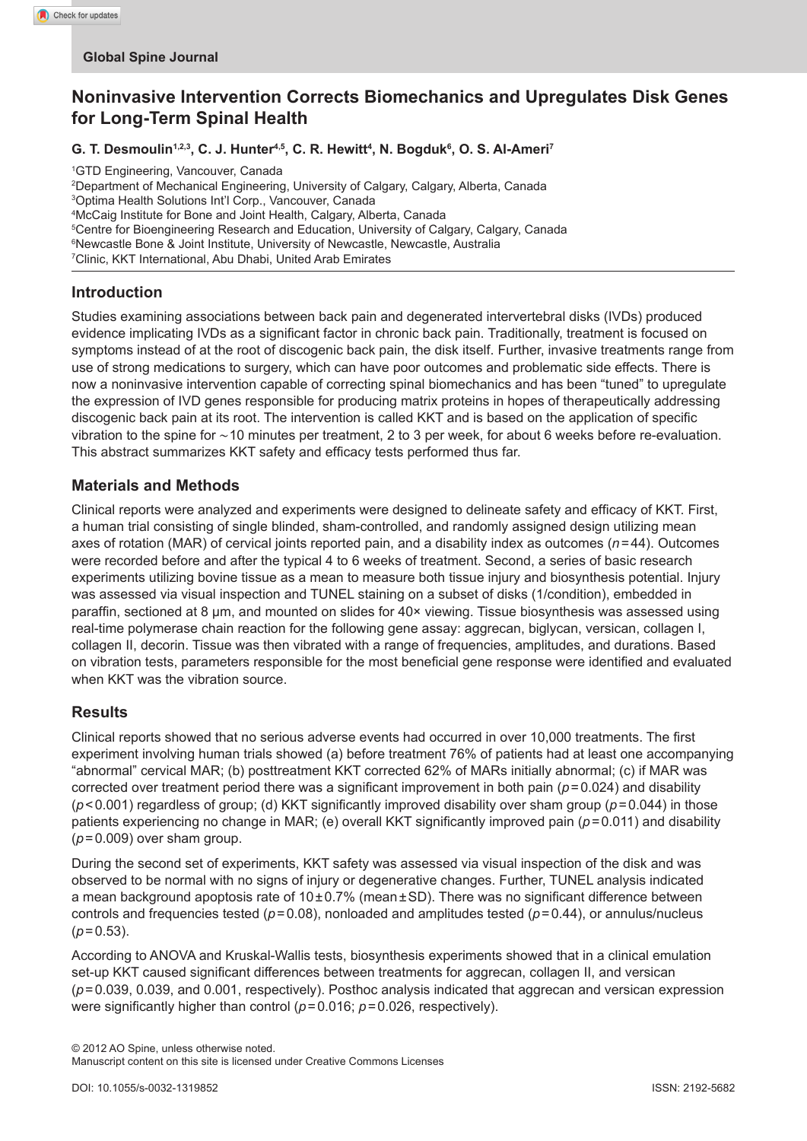# **Noninvasive Intervention Corrects Biomechanics and Upregulates Disk Genes for Long-Term Spinal Health**

**G. T. Desmoulin1,2,3, C. J. Hunter4,5, C. R. Hewitt4 , N. Bogduk6 , O. S. Al-Ameri7**

1 GTD Engineering, Vancouver, Canada

 Department of Mechanical Engineering, University of Calgary, Calgary, Alberta, Canada Optima Health Solutions Int'l Corp., Vancouver, Canada McCaig Institute for Bone and Joint Health, Calgary, Alberta, Canada Centre for Bioengineering Research and Education, University of Calgary, Calgary, Canada Newcastle Bone & Joint Institute, University of Newcastle, Newcastle, Australia Clinic, KKT International, Abu Dhabi, United Arab Emirates

### **Introduction**

Studies examining associations between back pain and degenerated intervertebral disks (IVDs) produced evidence implicating IVDs as a significant factor in chronic back pain. Traditionally, treatment is focused on symptoms instead of at the root of discogenic back pain, the disk itself. Further, invasive treatments range from use of strong medications to surgery, which can have poor outcomes and problematic side effects. There is now a noninvasive intervention capable of correcting spinal biomechanics and has been "tuned" to upregulate the expression of IVD genes responsible for producing matrix proteins in hopes of therapeutically addressing discogenic back pain at its root. The intervention is called KKT and is based on the application of specific vibration to the spine for ∼10 minutes per treatment, 2 to 3 per week, for about 6 weeks before re-evaluation. This abstract summarizes KKT safety and efficacy tests performed thus far.

### **Materials and Methods**

Clinical reports were analyzed and experiments were designed to delineate safety and efficacy of KKT. First, a human trial consisting of single blinded, sham-controlled, and randomly assigned design utilizing mean axes of rotation (MAR) of cervical joints reported pain, and a disability index as outcomes (*n*=44). Outcomes were recorded before and after the typical 4 to 6 weeks of treatment. Second, a series of basic research experiments utilizing bovine tissue as a mean to measure both tissue injury and biosynthesis potential. Injury was assessed via visual inspection and TUNEL staining on a subset of disks (1/condition), embedded in paraffin, sectioned at 8 µm, and mounted on slides for 40× viewing. Tissue biosynthesis was assessed using real-time polymerase chain reaction for the following gene assay: aggrecan, biglycan, versican, collagen I, collagen II, decorin. Tissue was then vibrated with a range of frequencies, amplitudes, and durations. Based on vibration tests, parameters responsible for the most beneficial gene response were identified and evaluated when KKT was the vibration source.

### **Results**

Clinical reports showed that no serious adverse events had occurred in over 10,000 treatments. The first experiment involving human trials showed (a) before treatment 76% of patients had at least one accompanying "abnormal" cervical MAR; (b) posttreatment KKT corrected 62% of MARs initially abnormal; (c) if MAR was corrected over treatment period there was a significant improvement in both pain (*p*=0.024) and disability (*p*<0.001) regardless of group; (d) KKT significantly improved disability over sham group (*p*=0.044) in those patients experiencing no change in MAR; (e) overall KKT significantly improved pain (*p*=0.011) and disability (*p*=0.009) over sham group.

During the second set of experiments, KKT safety was assessed via visual inspection of the disk and was observed to be normal with no signs of injury or degenerative changes. Further, TUNEL analysis indicated a mean background apoptosis rate of  $10\pm0.7\%$  (mean $\pm$ SD). There was no significant difference between controls and frequencies tested (*p*=0.08), nonloaded and amplitudes tested (*p*=0.44), or annulus/nucleus  $(p=0.53)$ .

According to ANOVA and Kruskal-Wallis tests, biosynthesis experiments showed that in a clinical emulation set-up KKT caused significant differences between treatments for aggrecan, collagen II, and versican (*p*=0.039, 0.039, and 0.001, respectively). Posthoc analysis indicated that aggrecan and versican expression were significantly higher than control (*p*=0.016; *p*=0.026, respectively).